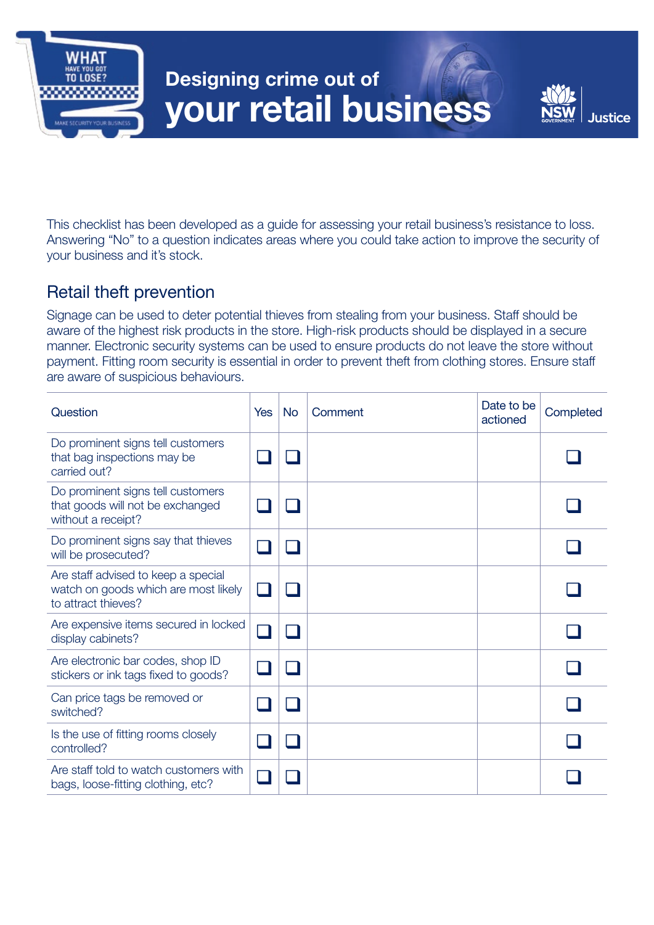

# Designing crime out of your retail business



This checklist has been developed as a guide for assessing your retail business's resistance to loss. Answering "No" to a question indicates areas where you could take action to improve the security of your business and it's stock.

## Retail theft prevention

Signage can be used to deter potential thieves from stealing from your business. Staff should be aware of the highest risk products in the store. High-risk products should be displayed in a secure manner. Electronic security systems can be used to ensure products do not leave the store without payment. Fitting room security is essential in order to prevent theft from clothing stores. Ensure staff are aware of suspicious behaviours.

| Question                                                                                           | Yes | <b>No</b> | Comment | Date to be<br>actioned | Completed |
|----------------------------------------------------------------------------------------------------|-----|-----------|---------|------------------------|-----------|
| Do prominent signs tell customers<br>that bag inspections may be<br>carried out?                   |     |           |         |                        |           |
| Do prominent signs tell customers<br>that goods will not be exchanged<br>without a receipt?        |     |           |         |                        |           |
| Do prominent signs say that thieves<br>will be prosecuted?                                         |     |           |         |                        |           |
| Are staff advised to keep a special<br>watch on goods which are most likely<br>to attract thieves? |     |           |         |                        |           |
| Are expensive items secured in locked<br>display cabinets?                                         |     |           |         |                        |           |
| Are electronic bar codes, shop ID<br>stickers or ink tags fixed to goods?                          |     |           |         |                        |           |
| Can price tags be removed or<br>switched?                                                          |     |           |         |                        |           |
| Is the use of fitting rooms closely<br>controlled?                                                 |     |           |         |                        |           |
| Are staff told to watch customers with<br>bags, loose-fitting clothing, etc?                       |     |           |         |                        |           |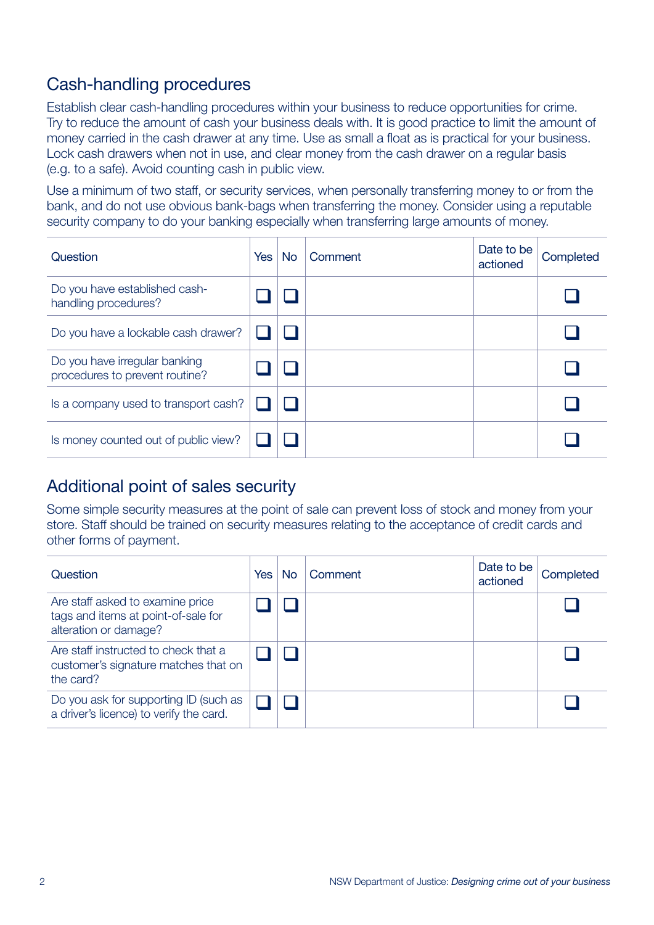## Cash-handling procedures

Establish clear cash-handling procedures within your business to reduce opportunities for crime. Try to reduce the amount of cash your business deals with. It is good practice to limit the amount of money carried in the cash drawer at any time. Use as small a float as is practical for your business. Lock cash drawers when not in use, and clear money from the cash drawer on a regular basis (e.g. to a safe). Avoid counting cash in public view.

Use a minimum of two staff, or security services, when personally transferring money to or from the bank, and do not use obvious bank-bags when transferring the money. Consider using a reputable security company to do your banking especially when transferring large amounts of money.

| Question                                                        | <b>Yes</b> | <b>No</b> | Comment | Date to be<br>actioned | Completed |
|-----------------------------------------------------------------|------------|-----------|---------|------------------------|-----------|
| Do you have established cash-<br>handling procedures?           |            |           |         |                        |           |
| Do you have a lockable cash drawer?                             |            |           |         |                        |           |
| Do you have irregular banking<br>procedures to prevent routine? |            |           |         |                        |           |
| Is a company used to transport cash?                            |            |           |         |                        |           |
| Is money counted out of public view?                            |            |           |         |                        |           |

#### Additional point of sales security

Some simple security measures at the point of sale can prevent loss of stock and money from your store. Staff should be trained on security measures relating to the acceptance of credit cards and other forms of payment.

| Question                                                                                         | <b>Yes</b> | No | Comment | Date to be<br>actioned | Completed |
|--------------------------------------------------------------------------------------------------|------------|----|---------|------------------------|-----------|
| Are staff asked to examine price<br>tags and items at point-of-sale for<br>alteration or damage? |            |    |         |                        |           |
| Are staff instructed to check that a<br>customer's signature matches that on<br>the card?        |            |    |         |                        |           |
| Do you ask for supporting ID (such as<br>a driver's licence) to verify the card.                 |            |    |         |                        |           |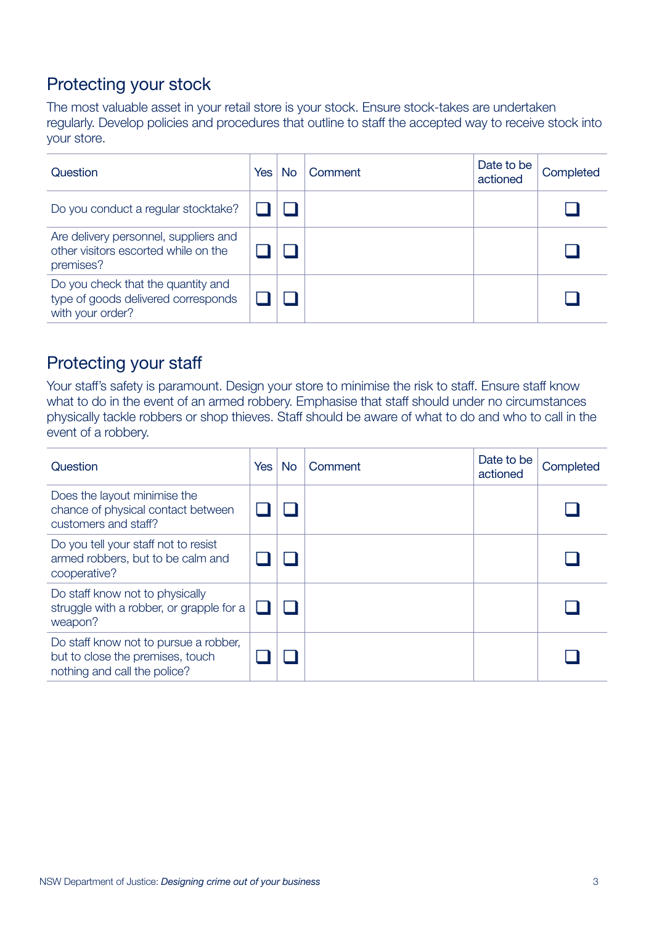# Protecting your stock

The most valuable asset in your retail store is your stock. Ensure stock-takes are undertaken regularly. Develop policies and procedures that outline to staff the accepted way to receive stock into your store.

| Question                                                                                      | <b>Yes</b> | <b>No</b> | Comment | Date to be<br>actioned | Completed |
|-----------------------------------------------------------------------------------------------|------------|-----------|---------|------------------------|-----------|
| Do you conduct a regular stocktake?                                                           |            |           |         |                        |           |
| Are delivery personnel, suppliers and<br>other visitors escorted while on the<br>premises?    |            |           |         |                        |           |
| Do you check that the quantity and<br>type of goods delivered corresponds<br>with your order? |            |           |         |                        |           |

## Protecting your staff

Your staff's safety is paramount. Design your store to minimise the risk to staff. Ensure staff know what to do in the event of an armed robbery. Emphasise that staff should under no circumstances physically tackle robbers or shop thieves. Staff should be aware of what to do and who to call in the event of a robbery.

| Question                                                                                                  | <b>Yes</b> | <b>No</b> | Comment | Date to be<br>actioned | Completed |
|-----------------------------------------------------------------------------------------------------------|------------|-----------|---------|------------------------|-----------|
| Does the layout minimise the<br>chance of physical contact between<br>customers and staff?                |            |           |         |                        |           |
| Do you tell your staff not to resist<br>armed robbers, but to be calm and<br>cooperative?                 |            |           |         |                        |           |
| Do staff know not to physically<br>struggle with a robber, or grapple for a<br>weapon?                    |            |           |         |                        |           |
| Do staff know not to pursue a robber,<br>but to close the premises, touch<br>nothing and call the police? |            |           |         |                        |           |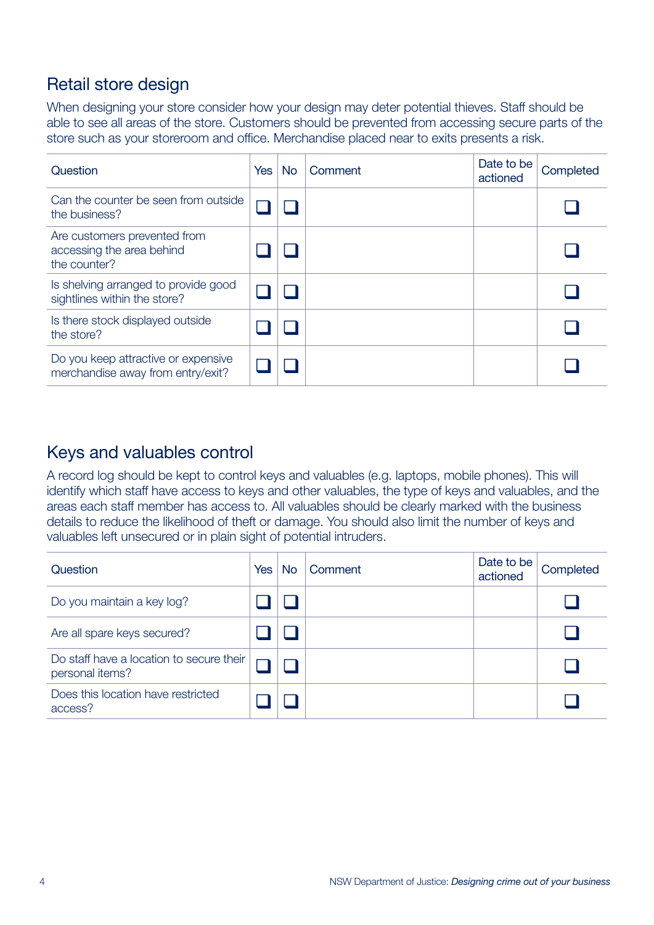## Retail store design

When designing your store consider how your design may deter potential thieves. Staff should be able to see all areas of the store. Customers should be prevented from accessing secure parts of the store such as your storeroom and office. Merchandise placed near to exits presents a risk.

| Question                                                                  | <b>Yes</b> | <b>No</b> | Comment | Date to be<br>actioned | Completed |
|---------------------------------------------------------------------------|------------|-----------|---------|------------------------|-----------|
| Can the counter be seen from outside<br>the business?                     |            |           |         |                        |           |
| Are customers prevented from<br>accessing the area behind<br>the counter? |            |           |         |                        |           |
| Is shelving arranged to provide good<br>sightlines within the store?      |            |           |         |                        |           |
| Is there stock displayed outside<br>the store?                            |            |           |         |                        |           |
| Do you keep attractive or expensive<br>merchandise away from entry/exit?  |            |           |         |                        |           |

#### Keys and valuables control

A record log should be kept to control keys and valuables (e.g. laptops, mobile phones). This will identify which staff have access to keys and other valuables, the type of keys and valuables, and the areas each staff member has access to. All valuables should be clearly marked with the business details to reduce the likelihood of theft or damage. You should also limit the number of keys and valuables left unsecured or in plain sight of potential intruders.

| Question                                                    | <b>Yes</b> | <b>No</b> | Comment | Date to be<br>actioned | Completed |
|-------------------------------------------------------------|------------|-----------|---------|------------------------|-----------|
| Do you maintain a key log?                                  |            |           |         |                        |           |
| Are all spare keys secured?                                 |            |           |         |                        |           |
| Do staff have a location to secure their<br>personal items? |            |           |         |                        |           |
| Does this location have restricted<br>access?               |            |           |         |                        |           |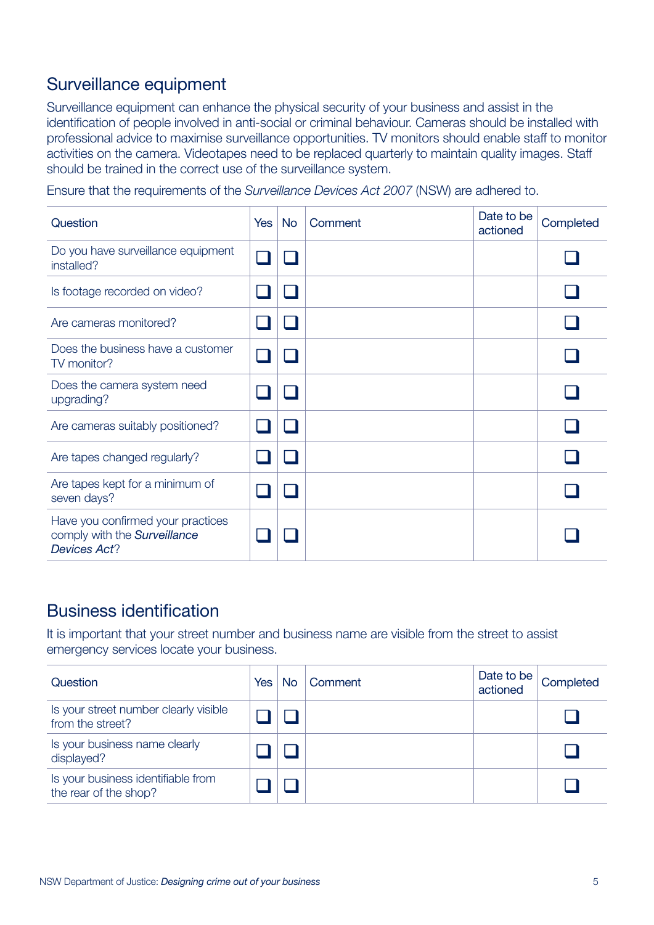## Surveillance equipment

Surveillance equipment can enhance the physical security of your business and assist in the identification of people involved in anti-social or criminal behaviour. Cameras should be installed with professional advice to maximise surveillance opportunities. TV monitors should enable staff to monitor activities on the camera. Videotapes need to be replaced quarterly to maintain quality images. Staff should be trained in the correct use of the surveillance system.

Ensure that the requirements of the *Surveillance Devices Act 2007* (NSW) are adhered to.

| Question                                                                                 | Yes | <b>No</b> | Comment | Date to be<br>actioned | Completed |
|------------------------------------------------------------------------------------------|-----|-----------|---------|------------------------|-----------|
| Do you have surveillance equipment<br>installed?                                         |     |           |         |                        |           |
| Is footage recorded on video?                                                            |     |           |         |                        |           |
| Are cameras monitored?                                                                   |     |           |         |                        |           |
| Does the business have a customer<br>TV monitor?                                         |     |           |         |                        |           |
| Does the camera system need<br>upgrading?                                                |     |           |         |                        |           |
| Are cameras suitably positioned?                                                         |     |           |         |                        |           |
| Are tapes changed regularly?                                                             |     |           |         |                        |           |
| Are tapes kept for a minimum of<br>seven days?                                           |     |           |         |                        |           |
| Have you confirmed your practices<br>comply with the Surveillance<br><b>Devices Act?</b> |     |           |         |                        |           |

#### Business identification

It is important that your street number and business name are visible from the street to assist emergency services locate your business.

| Question                                                    | <b>Yes</b> | No. | Comment | Date to be<br>actioned | Completed |
|-------------------------------------------------------------|------------|-----|---------|------------------------|-----------|
| Is your street number clearly visible<br>from the street?   |            |     |         |                        |           |
| Is your business name clearly<br>displayed?                 |            |     |         |                        |           |
| Is your business identifiable from<br>the rear of the shop? |            |     |         |                        |           |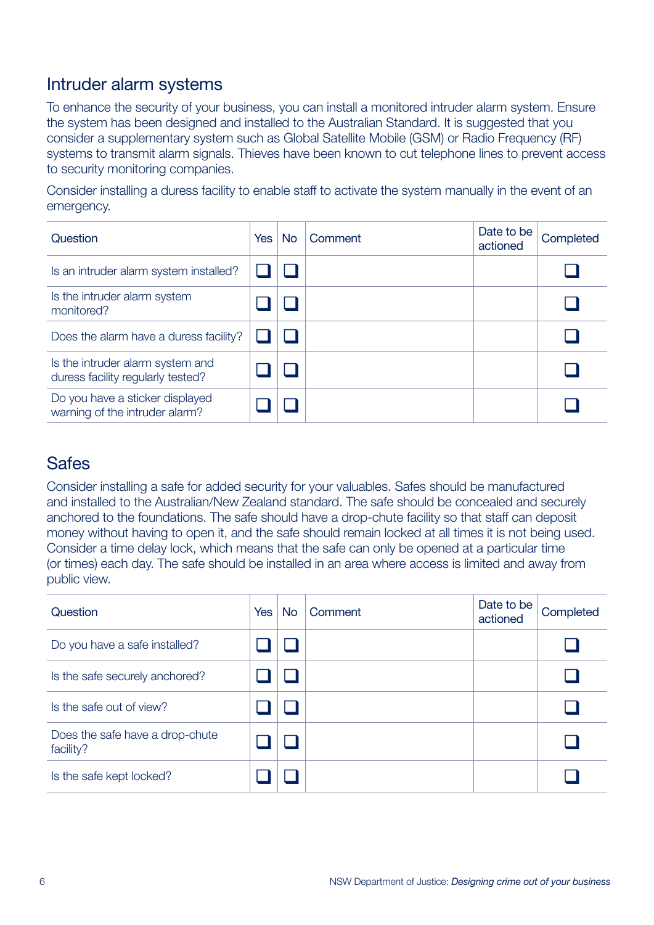#### Intruder alarm systems

To enhance the security of your business, you can install a monitored intruder alarm system. Ensure the system has been designed and installed to the Australian Standard. It is suggested that you consider a supplementary system such as Global Satellite Mobile (GSM) or Radio Frequency (RF) systems to transmit alarm signals. Thieves have been known to cut telephone lines to prevent access to security monitoring companies.

Consider installing a duress facility to enable staff to activate the system manually in the event of an emergency.

| Question                                                              | <b>Yes</b> | <b>No</b> | Comment | Date to be<br>actioned | Completed |
|-----------------------------------------------------------------------|------------|-----------|---------|------------------------|-----------|
| Is an intruder alarm system installed?                                |            |           |         |                        |           |
| Is the intruder alarm system<br>monitored?                            |            |           |         |                        |           |
| Does the alarm have a duress facility?                                |            |           |         |                        |           |
| Is the intruder alarm system and<br>duress facility regularly tested? |            |           |         |                        |           |
| Do you have a sticker displayed<br>warning of the intruder alarm?     |            |           |         |                        |           |

#### **Safes**

Consider installing a safe for added security for your valuables. Safes should be manufactured and installed to the Australian/New Zealand standard. The safe should be concealed and securely anchored to the foundations. The safe should have a drop-chute facility so that staff can deposit money without having to open it, and the safe should remain locked at all times it is not being used. Consider a time delay lock, which means that the safe can only be opened at a particular time (or times) each day. The safe should be installed in an area where access is limited and away from public view.

| Question                                     | <b>Yes</b> | <b>No</b> | Comment | Date to be<br>actioned | Completed |
|----------------------------------------------|------------|-----------|---------|------------------------|-----------|
| Do you have a safe installed?                |            |           |         |                        |           |
| Is the safe securely anchored?               |            |           |         |                        |           |
| Is the safe out of view?                     |            |           |         |                        |           |
| Does the safe have a drop-chute<br>facility? |            |           |         |                        |           |
| Is the safe kept locked?                     |            |           |         |                        |           |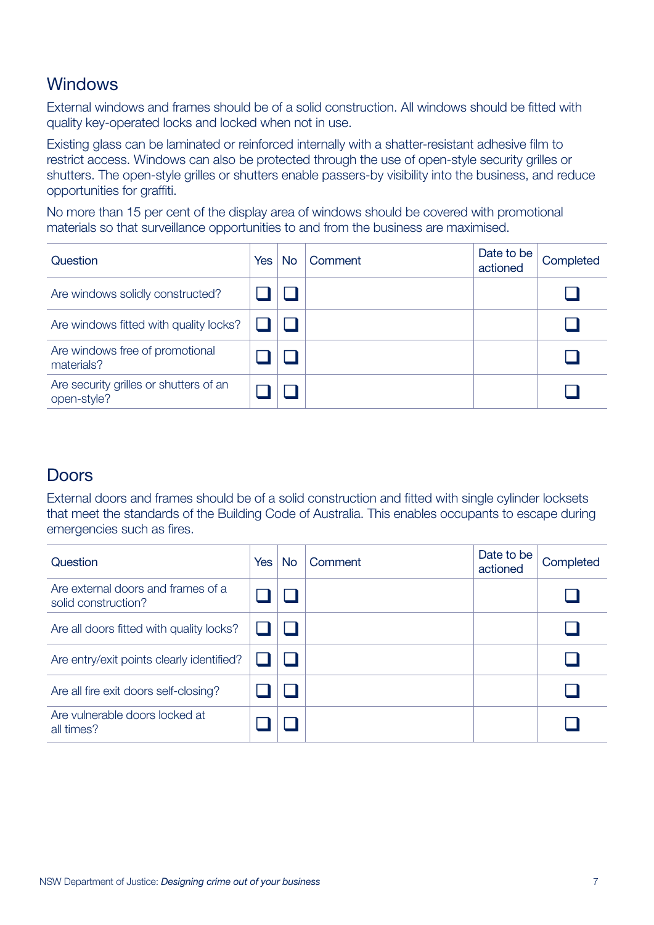## **Windows**

External windows and frames should be of a solid construction. All windows should be fitted with quality key-operated locks and locked when not in use.

Existing glass can be laminated or reinforced internally with a shatter-resistant adhesive film to restrict access. Windows can also be protected through the use of open-style security grilles or shutters. The open-style grilles or shutters enable passers-by visibility into the business, and reduce opportunities for graffiti.

No more than 15 per cent of the display area of windows should be covered with promotional materials so that surveillance opportunities to and from the business are maximised.

| Question                                              | <b>Yes</b> | <b>No</b> | Comment | Date to be<br>actioned | Completed |
|-------------------------------------------------------|------------|-----------|---------|------------------------|-----------|
| Are windows solidly constructed?                      |            |           |         |                        |           |
| Are windows fitted with quality locks?                |            |           |         |                        |           |
| Are windows free of promotional<br>materials?         |            |           |         |                        |           |
| Are security grilles or shutters of an<br>open-style? |            |           |         |                        |           |

#### **Doors**

External doors and frames should be of a solid construction and fitted with single cylinder locksets that meet the standards of the Building Code of Australia. This enables occupants to escape during emergencies such as fires.

| Question                                                  | <b>Yes</b> | No. | Comment | Date to be<br>actioned | Completed |
|-----------------------------------------------------------|------------|-----|---------|------------------------|-----------|
| Are external doors and frames of a<br>solid construction? |            |     |         |                        |           |
| Are all doors fitted with quality locks?                  |            |     |         |                        |           |
| Are entry/exit points clearly identified?                 |            |     |         |                        |           |
| Are all fire exit doors self-closing?                     |            |     |         |                        |           |
| Are vulnerable doors locked at<br>all times?              |            |     |         |                        |           |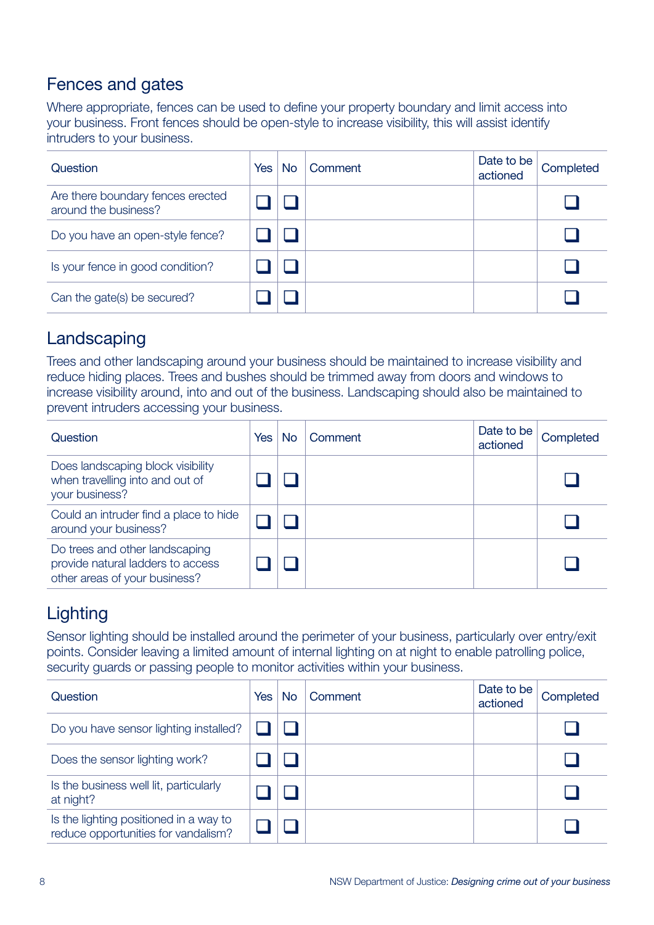## Fences and gates

Where appropriate, fences can be used to define your property boundary and limit access into your business. Front fences should be open-style to increase visibility, this will assist identify intruders to your business.

| Question                                                  | Yes | No | Comment | Date to be<br>actioned | Completed |
|-----------------------------------------------------------|-----|----|---------|------------------------|-----------|
| Are there boundary fences erected<br>around the business? |     |    |         |                        |           |
| Do you have an open-style fence?                          |     |    |         |                        |           |
| Is your fence in good condition?                          |     |    |         |                        |           |
| Can the gate(s) be secured?                               |     |    |         |                        |           |

## Landscaping

Trees and other landscaping around your business should be maintained to increase visibility and reduce hiding places. Trees and bushes should be trimmed away from doors and windows to increase visibility around, into and out of the business. Landscaping should also be maintained to prevent intruders accessing your business.

| Question                                                                                             | Yes | No | Comment | Date to be<br>actioned | Completed |
|------------------------------------------------------------------------------------------------------|-----|----|---------|------------------------|-----------|
| Does landscaping block visibility<br>when travelling into and out of<br>your business?               |     |    |         |                        |           |
| Could an intruder find a place to hide<br>around your business?                                      |     |    |         |                        |           |
| Do trees and other landscaping<br>provide natural ladders to access<br>other areas of your business? |     |    |         |                        |           |

## **Lighting**

Sensor lighting should be installed around the perimeter of your business, particularly over entry/exit points. Consider leaving a limited amount of internal lighting on at night to enable patrolling police, security guards or passing people to monitor activities within your business.

| Question                                                                      | <b>Yes</b> | <b>No</b> | Comment | Date to be<br>actioned | Completed |
|-------------------------------------------------------------------------------|------------|-----------|---------|------------------------|-----------|
| Do you have sensor lighting installed?                                        |            |           |         |                        |           |
| Does the sensor lighting work?                                                |            |           |         |                        |           |
| Is the business well lit, particularly<br>at night?                           |            |           |         |                        |           |
| Is the lighting positioned in a way to<br>reduce opportunities for vandalism? |            |           |         |                        |           |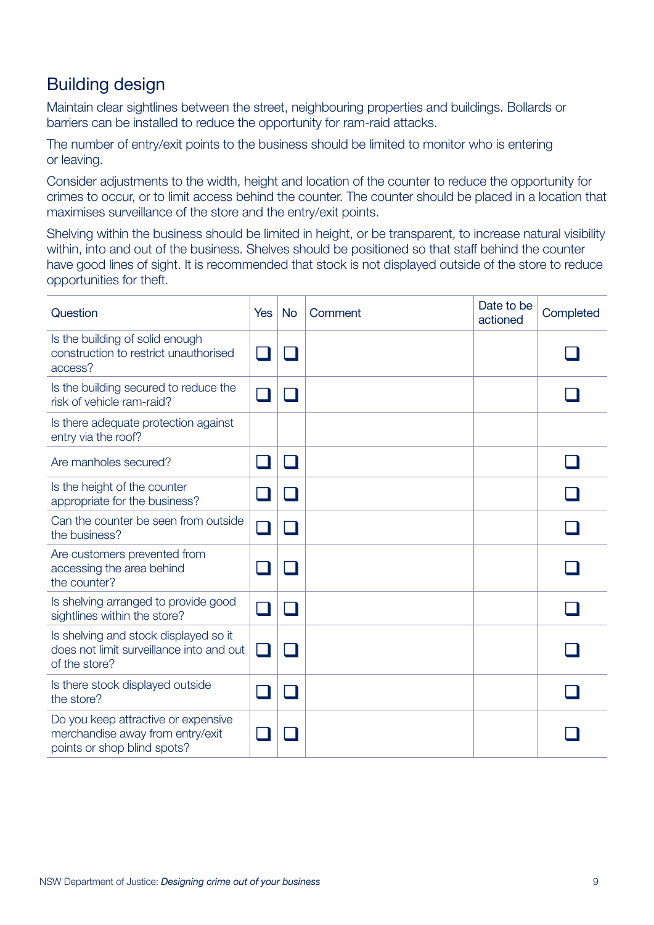## Building design

Maintain clear sightlines between the street, neighbouring properties and buildings. Bollards or barriers can be installed to reduce the opportunity for ram-raid attacks.

The number of entry/exit points to the business should be limited to monitor who is entering or leaving.

Consider adjustments to the width, height and location of the counter to reduce the opportunity for crimes to occur, or to limit access behind the counter. The counter should be placed in a location that maximises surveillance of the store and the entry/exit points.

Shelving within the business should be limited in height, or be transparent, to increase natural visibility within, into and out of the business. Shelves should be positioned so that staff behind the counter have good lines of sight. It is recommended that stock is not displayed outside of the store to reduce opportunities for theft.

| Question                                                                                               | <b>Yes</b> | <b>No</b> | Comment | Date to be<br>actioned | Completed |
|--------------------------------------------------------------------------------------------------------|------------|-----------|---------|------------------------|-----------|
| Is the building of solid enough<br>construction to restrict unauthorised<br>access?                    |            |           |         |                        |           |
| Is the building secured to reduce the<br>risk of vehicle ram-raid?                                     |            |           |         |                        |           |
| Is there adequate protection against<br>entry via the roof?                                            |            |           |         |                        |           |
| Are manholes secured?                                                                                  |            |           |         |                        |           |
| Is the height of the counter<br>appropriate for the business?                                          |            |           |         |                        |           |
| Can the counter be seen from outside<br>the business?                                                  |            |           |         |                        |           |
| Are customers prevented from<br>accessing the area behind<br>the counter?                              |            |           |         |                        |           |
| Is shelving arranged to provide good<br>sightlines within the store?                                   |            |           |         |                        |           |
| Is shelving and stock displayed so it<br>does not limit surveillance into and out<br>of the store?     |            |           |         |                        |           |
| Is there stock displayed outside<br>the store?                                                         |            |           |         |                        |           |
| Do you keep attractive or expensive<br>merchandise away from entry/exit<br>points or shop blind spots? |            |           |         |                        |           |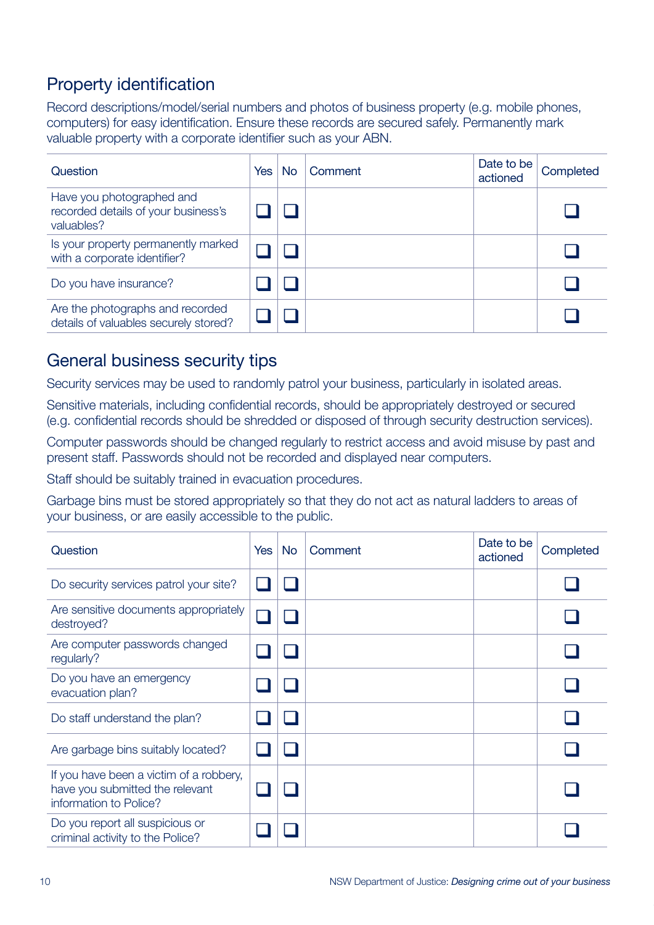# Property identification

Record descriptions/model/serial numbers and photos of business property (e.g. mobile phones, computers) for easy identification. Ensure these records are secured safely. Permanently mark valuable property with a corporate identifier such as your ABN.

| Question                                                                       | Yes | No | Comment | Date to be<br>actioned | Completed |
|--------------------------------------------------------------------------------|-----|----|---------|------------------------|-----------|
| Have you photographed and<br>recorded details of your business's<br>valuables? |     |    |         |                        |           |
| Is your property permanently marked<br>with a corporate identifier?            |     |    |         |                        |           |
| Do you have insurance?                                                         |     |    |         |                        |           |
| Are the photographs and recorded<br>details of valuables securely stored?      |     |    |         |                        |           |

#### General business security tips

Security services may be used to randomly patrol your business, particularly in isolated areas.

Sensitive materials, including confidential records, should be appropriately destroyed or secured (e.g. confidential records should be shredded or disposed of through security destruction services).

Computer passwords should be changed regularly to restrict access and avoid misuse by past and present staff. Passwords should not be recorded and displayed near computers.

Staff should be suitably trained in evacuation procedures.

Garbage bins must be stored appropriately so that they do not act as natural ladders to areas of your business, or are easily accessible to the public.

| Question                                                                                             | <b>Yes</b> | <b>No</b> | Comment | Date to be<br>actioned | Completed |
|------------------------------------------------------------------------------------------------------|------------|-----------|---------|------------------------|-----------|
| Do security services patrol your site?                                                               |            |           |         |                        |           |
| Are sensitive documents appropriately<br>destroyed?                                                  |            |           |         |                        |           |
| Are computer passwords changed<br>regularly?                                                         |            |           |         |                        |           |
| Do you have an emergency<br>evacuation plan?                                                         |            |           |         |                        |           |
| Do staff understand the plan?                                                                        |            |           |         |                        |           |
| Are garbage bins suitably located?                                                                   |            |           |         |                        |           |
| If you have been a victim of a robbery,<br>have you submitted the relevant<br>information to Police? |            |           |         |                        |           |
| Do you report all suspicious or<br>criminal activity to the Police?                                  |            |           |         |                        |           |